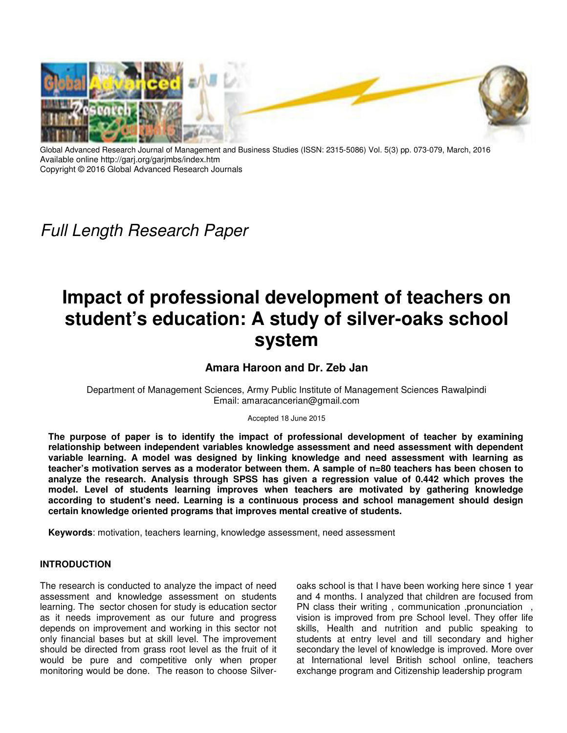

Global Advanced Research Journal of Management and Business Studies (ISSN: 2315-5086) Vol. 5(3) pp. 073-079, March, 2016 Available online http://garj.org/garjmbs/index.htm Copyright © 2016 Global Advanced Research Journals

*Full Length Research Paper*

# **Impact of professional development of teachers on student's education: A study of silver-oaks school system**

**Amara Haroon and Dr. Zeb Jan** 

Department of Management Sciences, Army Public Institute of Management Sciences Rawalpindi Email: amaracancerian@gmail.com

Accepted 18 June 2015

**The purpose of paper is to identify the impact of professional development of teacher by examining relationship between independent variables knowledge assessment and need assessment with dependent variable learning. A model was designed by linking knowledge and need assessment with learning as teacher's motivation serves as a moderator between them. A sample of n=80 teachers has been chosen to analyze the research. Analysis through SPSS has given a regression value of 0.442 which proves the model. Level of students learning improves when teachers are motivated by gathering knowledge according to student's need. Learning is a continuous process and school management should design certain knowledge oriented programs that improves mental creative of students.** 

**Keywords**: motivation, teachers learning, knowledge assessment, need assessment

## **INTRODUCTION**

The research is conducted to analyze the impact of need assessment and knowledge assessment on students learning. The sector chosen for study is education sector as it needs improvement as our future and progress depends on improvement and working in this sector not only financial bases but at skill level. The improvement should be directed from grass root level as the fruit of it would be pure and competitive only when proper monitoring would be done. The reason to choose Silver-

oaks school is that I have been working here since 1 year and 4 months. I analyzed that children are focused from PN class their writing, communication, pronunciation, vision is improved from pre School level. They offer life skills, Health and nutrition and public speaking to students at entry level and till secondary and higher secondary the level of knowledge is improved. More over at International level British school online, teachers exchange program and Citizenship leadership program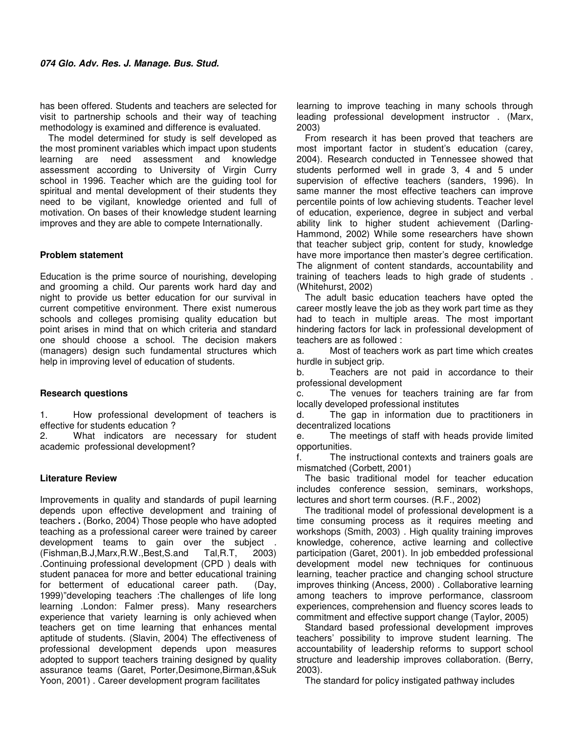has been offered. Students and teachers are selected for visit to partnership schools and their way of teaching methodology is examined and difference is evaluated.

The model determined for study is self developed as the most prominent variables which impact upon students learning are need assessment and knowledge assessment according to University of Virgin Curry school in 1996. Teacher which are the guiding tool for spiritual and mental development of their students they need to be vigilant, knowledge oriented and full of motivation. On bases of their knowledge student learning improves and they are able to compete Internationally.

## **Problem statement**

Education is the prime source of nourishing, developing and grooming a child. Our parents work hard day and night to provide us better education for our survival in current competitive environment. There exist numerous schools and colleges promising quality education but point arises in mind that on which criteria and standard one should choose a school. The decision makers (managers) design such fundamental structures which help in improving level of education of students.

#### **Research questions**

1. How professional development of teachers is effective for students education ?

2. What indicators are necessary for student academic professional development?

## **Literature Review**

Improvements in quality and standards of pupil learning depends upon effective development and training of teachers **.** (Borko, 2004) Those people who have adopted teaching as a professional career were trained by career development teams to gain over the subject . (Fishman,B.J,Marx,R.W.,Best,S.and Tal,R.T, 2003) .Continuing professional development (CPD ) deals with student panacea for more and better educational training for betterment of educational career path. (Day, 1999)"developing teachers :The challenges of life long learning .London: Falmer press). Many researchers experience that variety learning is only achieved when teachers get on time learning that enhances mental aptitude of students. (Slavin, 2004) The effectiveness of professional development depends upon measures adopted to support teachers training designed by quality assurance teams (Garet, Porter,Desimone,Birman,&Suk Yoon, 2001) . Career development program facilitates

learning to improve teaching in many schools through leading professional development instructor . (Marx, 2003)

From research it has been proved that teachers are most important factor in student's education (carey, 2004). Research conducted in Tennessee showed that students performed well in grade 3, 4 and 5 under supervision of effective teachers (sanders, 1996). In same manner the most effective teachers can improve percentile points of low achieving students. Teacher level of education, experience, degree in subject and verbal ability link to higher student achievement (Darling-Hammond, 2002) While some researchers have shown that teacher subject grip, content for study, knowledge have more importance then master's degree certification. The alignment of content standards, accountability and training of teachers leads to high grade of students . (Whitehurst, 2002)

The adult basic education teachers have opted the career mostly leave the job as they work part time as they had to teach in multiple areas. The most important hindering factors for lack in professional development of teachers are as followed :

a. Most of teachers work as part time which creates hurdle in subject grip.

b. Teachers are not paid in accordance to their professional development

c. The venues for teachers training are far from locally developed professional institutes

d. The gap in information due to practitioners in decentralized locations

e. The meetings of staff with heads provide limited opportunities.

f. The instructional contexts and trainers goals are mismatched (Corbett, 2001)

The basic traditional model for teacher education includes conference session, seminars, workshops, lectures and short term courses. (R.F., 2002)

The traditional model of professional development is a time consuming process as it requires meeting and workshops (Smith, 2003) . High quality training improves knowledge, coherence, active learning and collective participation (Garet, 2001). In job embedded professional development model new techniques for continuous learning, teacher practice and changing school structure improves thinking (Ancess, 2000) . Collaborative learning among teachers to improve performance, classroom experiences, comprehension and fluency scores leads to commitment and effective support change (Taylor, 2005)

Standard based professional development improves teachers' possibility to improve student learning. The accountability of leadership reforms to support school structure and leadership improves collaboration. (Berry, 2003).

The standard for policy instigated pathway includes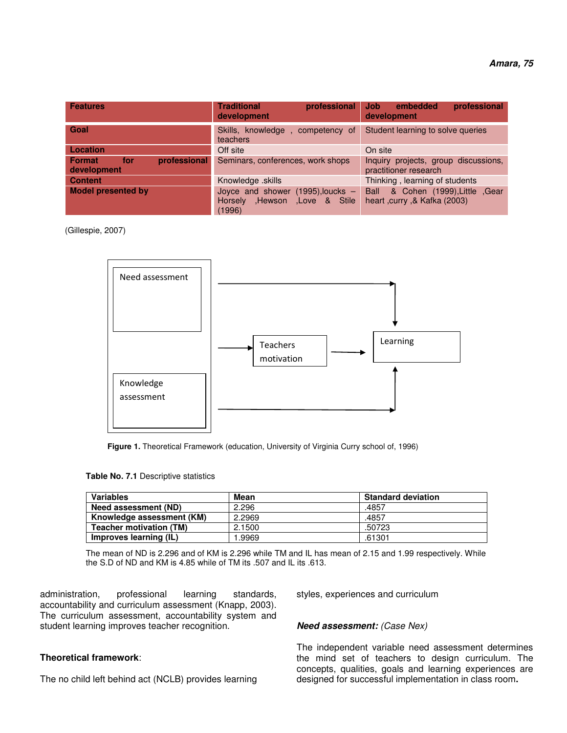| <b>Features</b>                              | <b>Traditional</b><br>professional<br>development                                        | professional<br>embedded<br><b>Job</b><br>development                   |
|----------------------------------------------|------------------------------------------------------------------------------------------|-------------------------------------------------------------------------|
| Goal                                         | Skills, knowledge, competency of<br>teachers                                             | Student learning to solve queries                                       |
| Location                                     | Off site                                                                                 | On site                                                                 |
| professional<br>for<br>Format<br>development | Seminars, conferences, work shops                                                        | Inquiry projects, group discussions,<br>practitioner research           |
| <b>Content</b>                               | Knowledge .skills                                                                        | Thinking, learning of students                                          |
| <b>Model presented by</b>                    | Joyce and shower (1995), loucks -<br>Hewson,<br>Love & Stile<br><b>Horselv</b><br>(1996) | & Cohen (1999), Little , Gear<br>Ball<br>heart , curry , & Kafka (2003) |

(Gillespie, 2007)



**Figure 1.** Theoretical Framework (education, University of Virginia Curry school of, 1996)

|  |  |  | Table No. 7.1 Descriptive statistics |  |
|--|--|--|--------------------------------------|--|
|--|--|--|--------------------------------------|--|

| <b>Variables</b>               | Mean   | <b>Standard deviation</b> |
|--------------------------------|--------|---------------------------|
| Need assessment (ND)           | 2.296  | .4857                     |
| Knowledge assessment (KM)      | 2.2969 | .4857                     |
| <b>Teacher motivation (TM)</b> | 2.1500 | .50723                    |
| Improves learning (IL)         | .9969  | .61301                    |

The mean of ND is 2.296 and of KM is 2.296 while TM and IL has mean of 2.15 and 1.99 respectively. While the S.D of ND and KM is 4.85 while of TM its .507 and IL its .613.

administration, professional learning standards, accountability and curriculum assessment (Knapp, 2003). The curriculum assessment, accountability system and student learning improves teacher recognition.

## **Theoretical framework**:

The no child left behind act (NCLB) provides learning

styles, experiences and curriculum

#### *Need assessment: (Case Nex)*

The independent variable need assessment determines the mind set of teachers to design curriculum. The concepts, qualities, goals and learning experiences are designed for successful implementation in class room**.**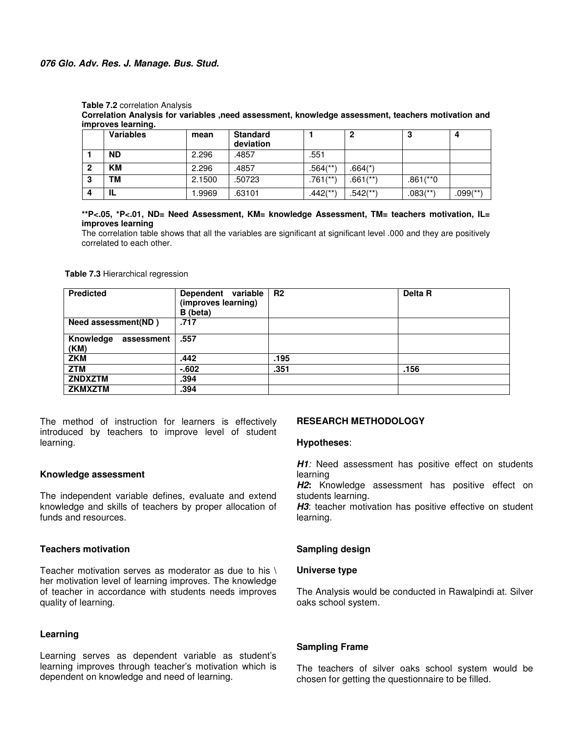**Correlation Analysis for variables ,need assessment, knowledge assessment, teachers motivation and improves learning.** 

|   | <b>Variables</b> | mean   | <b>Standard</b><br>deviation |                        |                        | J.                     | 4           |
|---|------------------|--------|------------------------------|------------------------|------------------------|------------------------|-------------|
|   | <b>ND</b>        | 2.296  | .4857                        | .551                   |                        |                        |             |
|   | <b>KM</b>        | 2.296  | .4857                        | $.564$ <sup>**</sup> ) | $.664(*)$              |                        |             |
| 3 | ΤМ               | 2.1500 | .50723                       | $.761$ <sup>**)</sup>  | $.661$ <sup>(**)</sup> | $.861$ (**)            |             |
|   | IL               | .9969  | .63101                       | $.442$ <sup>**</sup> ) | .542(**)               | $.083$ <sup>(**)</sup> | $.099$ (**) |

**\*\*P<.05, \*P<.01, ND= Need Assessment, KM= knowledge Assessment, TM= teachers motivation, IL= improves learning** 

The correlation table shows that all the variables are significant at significant level .000 and they are positively correlated to each other.

**Table 7.3** Hierarchical regression

| <b>Predicted</b>                | Dependent variable<br>(improves learning)<br>B (beta) | R <sub>2</sub> | Delta R |
|---------------------------------|-------------------------------------------------------|----------------|---------|
| Need assessment(ND)             | .717                                                  |                |         |
| Knowledge<br>assessment<br>(KM) | .557                                                  |                |         |
| ZKM                             | .442                                                  | .195           |         |
| <b>ZTM</b>                      | $-602$                                                | .351           | .156    |
| <b>ZNDXZTM</b>                  | .394                                                  |                |         |
| <b>ZKMXZTM</b>                  | .394                                                  |                |         |

The method of instruction for learners is effectively introduced by teachers to improve level of student learning.

## **Knowledge assessment**

The independent variable defines, evaluate and extend knowledge and skills of teachers by proper allocation of funds and resources.

## **Teachers motivation**

Teacher motivation serves as moderator as due to his \ her motivation level of learning improves. The knowledge of teacher in accordance with students needs improves quality of learning.

## **Learning**

Learning serves as dependent variable as student's learning improves through teacher's motivation which is dependent on knowledge and need of learning.

## **RESEARCH METHODOLOGY**

#### **Hypotheses**:

**H1**: Need assessment has positive effect on students learning

*H2***:** Knowledge assessment has positive effect on students learning.

H3: teacher motivation has positive effective on student learning.

## **Sampling design**

#### **Universe type**

The Analysis would be conducted in Rawalpindi at. Silver oaks school system.

## **Sampling Frame**

The teachers of silver oaks school system would be chosen for getting the questionnaire to be filled.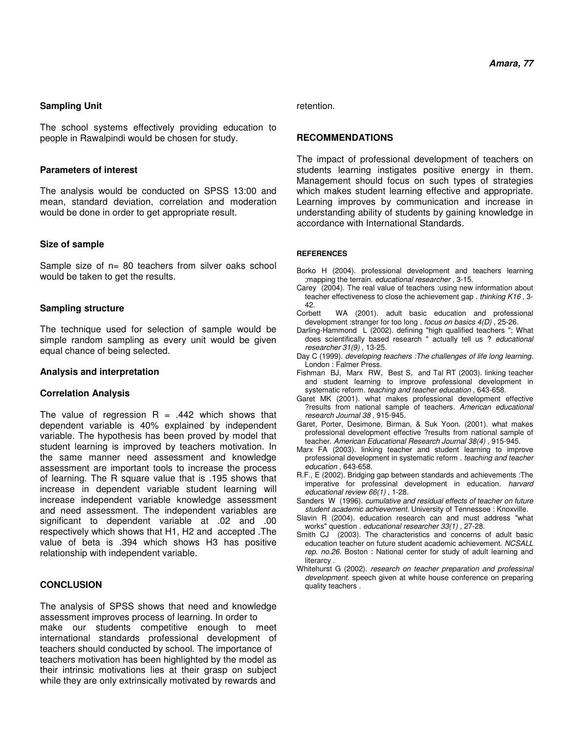## **Sampling Unit**

The school systems effectively providing education to people in Rawalpindi would be chosen for study.

## **Parameters of interest**

The analysis would be conducted on SPSS 13:00 and mean, standard deviation, correlation and moderation would be done in order to get appropriate result.

## **Size of sample**

Sample size of  $n=$  80 teachers from silver oaks school would be taken to get the results.

## **Sampling structure**

The technique used for selection of sample would be simple random sampling as every unit would be given equal chance of being selected.

## **Analysis and interpretation**

## **Correlation Analysis**

The value of regression  $R = .442$  which shows that dependent variable is 40% explained by independent variable. The hypothesis has been proved by model that student learning is improved by teachers motivation. In the same manner need assessment and knowledge assessment are important tools to increase the process of learning. The R square value that is .195 shows that increase in dependent variable student learning will increase independent variable knowledge assessment and need assessment. The independent variables are significant to dependent variable at .02 and .00 respectively which shows that H1, H2 and accepted .The value of beta is .394 which shows H3 has positive relationship with independent variable.

# **CONCLUSION**

The analysis of SPSS shows that need and knowledge assessment improves process of learning. In order to make our students competitive enough to meet international standards professional development of teachers should conducted by school. The importance of teachers motivation has been highlighted by the model as their intrinsic motivations lies at their grasp on subject while they are only extrinsically motivated by rewards and

#### retention.

# **RECOMMENDATIONS**

The impact of professional development of teachers on students learning instigates positive energy in them. Management should focus on such types of strategies which makes student learning effective and appropriate. Learning improves by communication and increase in understanding ability of students by gaining knowledge in accordance with International Standards.

#### **REFERENCES**

- Borko H (2004). professional development and teachers learning ;mapping the terrain. *educational researcher* , 3-15.
- Carey (2004). The real value of teachers :using new information about teacher effectiveness to close the achievement gap . *thinking K16* , 3- 42.<br>Corbett
- WA (2001). adult basic education and professional development :stranger for too long . *focus on basics 4(D)* , 25-26.
- Darling-Hammond L (2002). defining "high qualified teachers "; What does scientifically based research " actually tell us ? *educational researcher 31(9)* , 13-25.
- Day C (1999). *developing teachers :The challenges of life long learning.* London : Falmer Press.
- Fishman BJ, Marx RW, Best S, and Tal RT (2003). linking teacher and student learning to improve professional development in systematic reform. *teaching and teacher education* , 643-658.
- Garet MK (2001). what makes professional development effective ?results from national sample of teachers. *American educational research Journal 38* , 915-945.
- Garet, Porter, Desimone, Birman, & Suk Yoon. (2001). what makes professional development effective ?results from national sample of teacher. *American Educational Research Journal 38(4)* , 915-945.
- Marx FA (2003). linking teacher and student learning to improve professional development in systematic reform . *teaching and teacher education* , 643-658.
- R.F., E (2002). Bridging gap between standards and achievements :The imperative for professinal development in education. *harvard educational review 66(1)* , 1-28.
- Sanders W (1996). *cumulative and residual effects of teacher on future student academic achievement.* University of Tennessee : Knoxville.
- Slavin R (2004). education research can and must address "what works" question . *educational researcher 33(1)* , 27-28.
- Smith CJ (2003). The characteristics and concerns of adult basic education teacher on future student academic achievement. *NCSALL rep. no.26.* Boston : National center for study of adult learning and **literarcy**
- Whitehurst G (2002). *research on teacher preparation and professinal development.* speech given at white house conference on preparing quality teachers .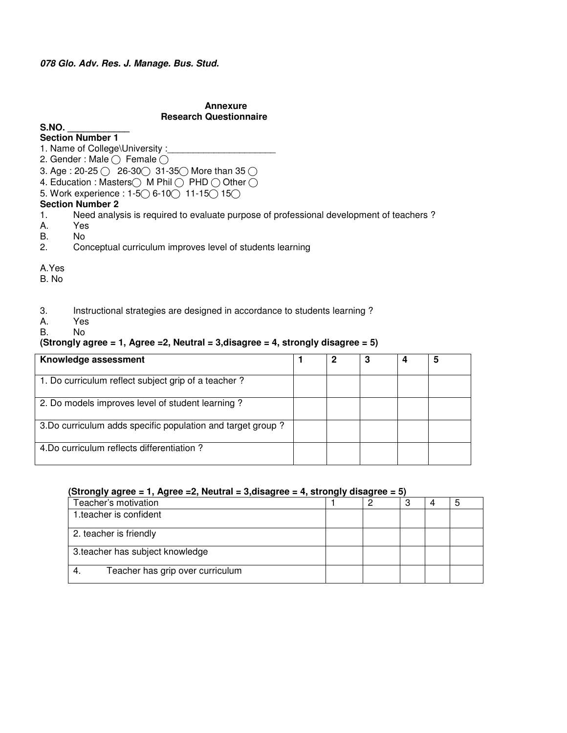# **Annexure Research Questionnaire**

## **S.NO. \_\_\_\_\_\_\_\_\_\_\_\_**

**Section Number 1** 

- 1. Name of College\University :\_
- 2. Gender : Male  $\bigcirc$  Female  $\bigcirc$
- 3. Age : 20-25  $\bigcirc$  26-30 $\bigcirc$  31-35 $\bigcirc$  More than 35  $\bigcirc$
- 4. Education : Masters $\bigcirc$  M Phil  $\bigcirc$  PHD  $\bigcirc$  Other  $\bigcirc$
- 5. Work experience : 1-5◯ 6-10◯ 11-15◯ 15◯

# **Section Number 2**

- 1. Need analysis is required to evaluate purpose of professional development of teachers ?
- A. Yes
- B. No
- 2. Conceptual curriculum improves level of students learning

## A.Yes

B. No

- 3. Instructional strategies are designed in accordance to students learning ?
- Yes
- B. No

# **(Strongly agree = 1, Agree =2, Neutral = 3,disagree = 4, strongly disagree = 5)**

| Knowledge assessment                                        |  |  | 5 |
|-------------------------------------------------------------|--|--|---|
| 1. Do curriculum reflect subject grip of a teacher?         |  |  |   |
| 2. Do models improves level of student learning?            |  |  |   |
| 3. Do curriculum adds specific population and target group? |  |  |   |
| 4. Do curriculum reflects differentiation?                  |  |  |   |

## **(Strongly agree = 1, Agree =2, Neutral = 3,disagree = 4, strongly disagree = 5)**

| Teacher's motivation             |  |  |  |
|----------------------------------|--|--|--|
| 1. teacher is confident          |  |  |  |
| 2. teacher is friendly           |  |  |  |
| 3.teacher has subject knowledge  |  |  |  |
| Teacher has grip over curriculum |  |  |  |